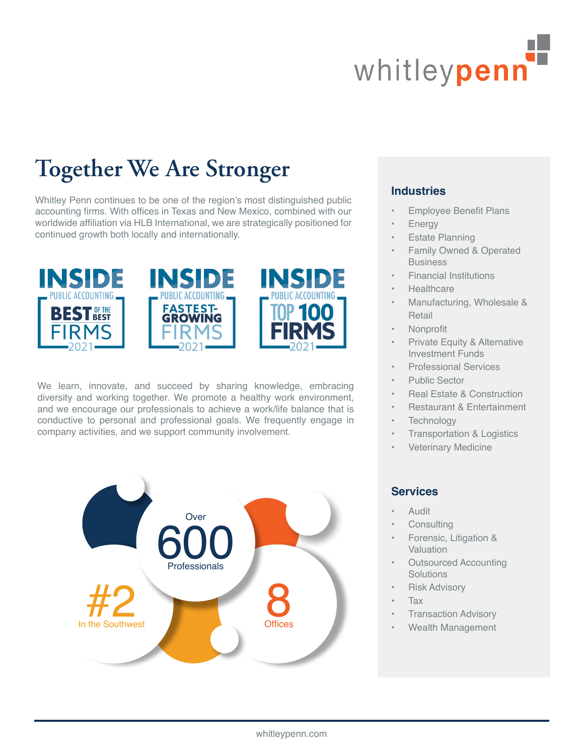

## **Together We Are Stronger**

Whitley Penn continues to be one of the region's most distinguished public accounting firms. With offices in Texas and New Mexico, combined with our worldwide affiliation via HLB International, we are strategically positioned for continued growth both locally and internationally.







We learn, innovate, and succeed by sharing knowledge, embracing diversity and working together. We promote a healthy work environment, and we encourage our professionals to achieve a work/life balance that is conductive to personal and professional goals. We frequently engage in company activities, and we support community involvement.



#### **Industries**

- Employee Benefit Plans
- **Energy**
- **Estate Planning**
- Family Owned & Operated **Business**
- Financial Institutions
- **Healthcare**
- Manufacturing, Wholesale & Retail
- Nonprofit
- Private Equity & Alternative Investment Funds
- Professional Services
- Public Sector
- Real Estate & Construction
- Restaurant & Entertainment
- **Technology**
- Transportation & Logistics
- Veterinary Medicine

#### **Services**

- Audit
- **Consulting**
- Forensic, Litigation & **Valuation**
- Outsourced Accounting **Solutions**
- **Risk Advisory**
- Tax
- Transaction Advisory
- Wealth Management